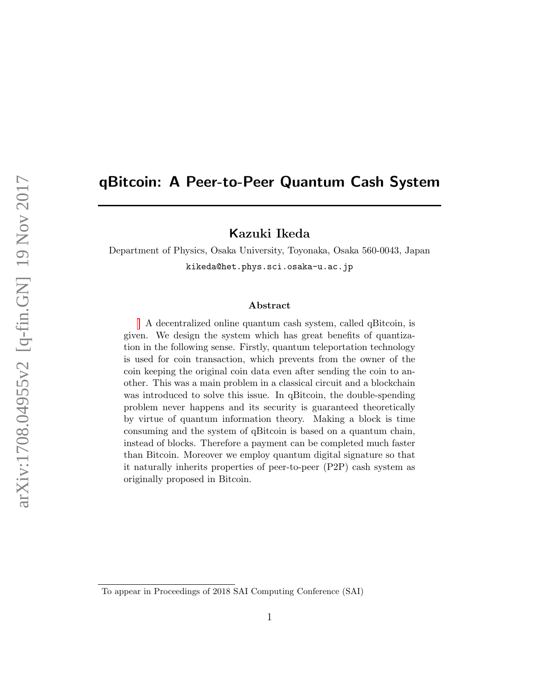# qBitcoin: A Peer-to-Peer Quantum Cash System

# Kazuki Ikeda

Department of Physics, Osaka University, Toyonaka, Osaka 560-0043, Japan kikeda@het.phys.sci.osaka-u.ac.jp

#### Abstract

A decentralized online quantum cash system, called qBitcoin, is given. We design the system which has great benefits of quantization in the following sense. Firstly, quantum teleportation technology is used for coin transaction, which prevents from the owner of the coin keeping the original coin data even after sending the coin to another. This was a main problem in a classical circuit and a blockchain was introduced to solve this issue. In qBitcoin, the double-spending problem never happens and its security is guaranteed theoretically by virtue of quantum information theory. Making a block is time consuming and the system of qBitcoin is based on a quantum chain, instead of blocks. Therefore a payment can be completed much faster than Bitcoin. Moreover we employ quantum digital signature so that it naturally inherits properties of peer-to-peer (P2P) cash system as originally proposed in Bitcoin.

To appear in Proceedings of 2018 SAI Computing Conference (SAI)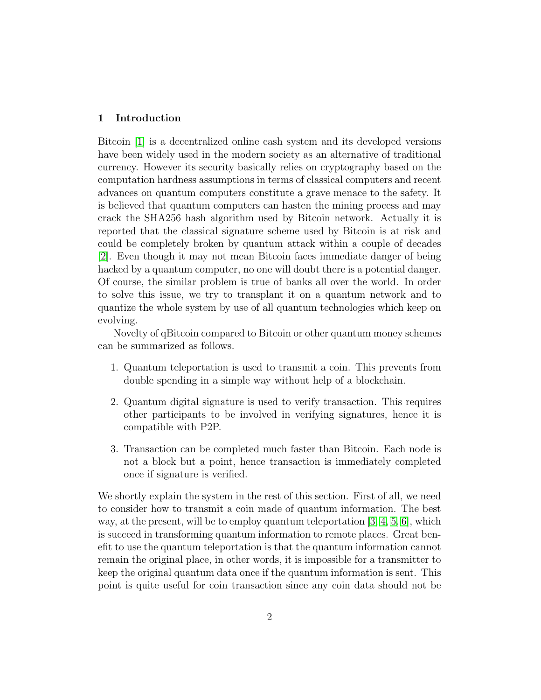### 1 Introduction

Bitcoin [\[1\]](#page-8-0) is a decentralized online cash system and its developed versions have been widely used in the modern society as an alternative of traditional currency. However its security basically relies on cryptography based on the computation hardness assumptions in terms of classical computers and recent advances on quantum computers constitute a grave menace to the safety. It is believed that quantum computers can hasten the mining process and may crack the SHA256 hash algorithm used by Bitcoin network. Actually it is reported that the classical signature scheme used by Bitcoin is at risk and could be completely broken by quantum attack within a couple of decades [\[2\]](#page-8-1). Even though it may not mean Bitcoin faces immediate danger of being hacked by a quantum computer, no one will doubt there is a potential danger. Of course, the similar problem is true of banks all over the world. In order to solve this issue, we try to transplant it on a quantum network and to quantize the whole system by use of all quantum technologies which keep on evolving.

Novelty of qBitcoin compared to Bitcoin or other quantum money schemes can be summarized as follows.

- 1. Quantum teleportation is used to transmit a coin. This prevents from double spending in a simple way without help of a blockchain.
- 2. Quantum digital signature is used to verify transaction. This requires other participants to be involved in verifying signatures, hence it is compatible with P2P.
- 3. Transaction can be completed much faster than Bitcoin. Each node is not a block but a point, hence transaction is immediately completed once if signature is verified.

We shortly explain the system in the rest of this section. First of all, we need to consider how to transmit a coin made of quantum information. The best way, at the present, will be to employ quantum teleportation [\[3,](#page-8-2) [4,](#page-9-0) [5,](#page-9-1) [6\]](#page-9-2), which is succeed in transforming quantum information to remote places. Great benefit to use the quantum teleportation is that the quantum information cannot remain the original place, in other words, it is impossible for a transmitter to keep the original quantum data once if the quantum information is sent. This point is quite useful for coin transaction since any coin data should not be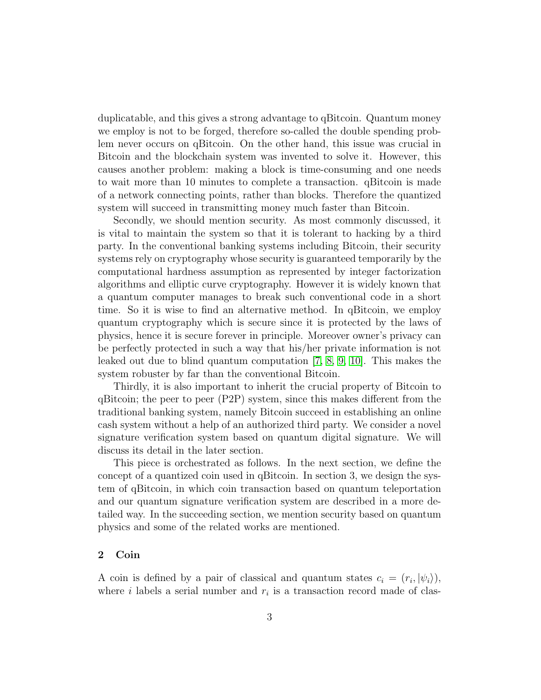duplicatable, and this gives a strong advantage to qBitcoin. Quantum money we employ is not to be forged, therefore so-called the double spending problem never occurs on qBitcoin. On the other hand, this issue was crucial in Bitcoin and the blockchain system was invented to solve it. However, this causes another problem: making a block is time-consuming and one needs to wait more than 10 minutes to complete a transaction. qBitcoin is made of a network connecting points, rather than blocks. Therefore the quantized system will succeed in transmitting money much faster than Bitcoin.

Secondly, we should mention security. As most commonly discussed, it is vital to maintain the system so that it is tolerant to hacking by a third party. In the conventional banking systems including Bitcoin, their security systems rely on cryptography whose security is guaranteed temporarily by the computational hardness assumption as represented by integer factorization algorithms and elliptic curve cryptography. However it is widely known that a quantum computer manages to break such conventional code in a short time. So it is wise to find an alternative method. In qBitcoin, we employ quantum cryptography which is secure since it is protected by the laws of physics, hence it is secure forever in principle. Moreover owner's privacy can be perfectly protected in such a way that his/her private information is not leaked out due to blind quantum computation [\[7,](#page-9-3) [8,](#page-9-4) [9,](#page-9-5) [10\]](#page-9-6). This makes the system robuster by far than the conventional Bitcoin.

Thirdly, it is also important to inherit the crucial property of Bitcoin to qBitcoin; the peer to peer (P2P) system, since this makes different from the traditional banking system, namely Bitcoin succeed in establishing an online cash system without a help of an authorized third party. We consider a novel signature verification system based on quantum digital signature. We will discuss its detail in the later section.

This piece is orchestrated as follows. In the next section, we define the concept of a quantized coin used in qBitcoin. In section 3, we design the system of qBitcoin, in which coin transaction based on quantum teleportation and our quantum signature verification system are described in a more detailed way. In the succeeding section, we mention security based on quantum physics and some of the related works are mentioned.

# 2 Coin

A coin is defined by a pair of classical and quantum states  $c_i = (r_i, |\psi_i\rangle)$ , where  $i$  labels a serial number and  $r_i$  is a transaction record made of clas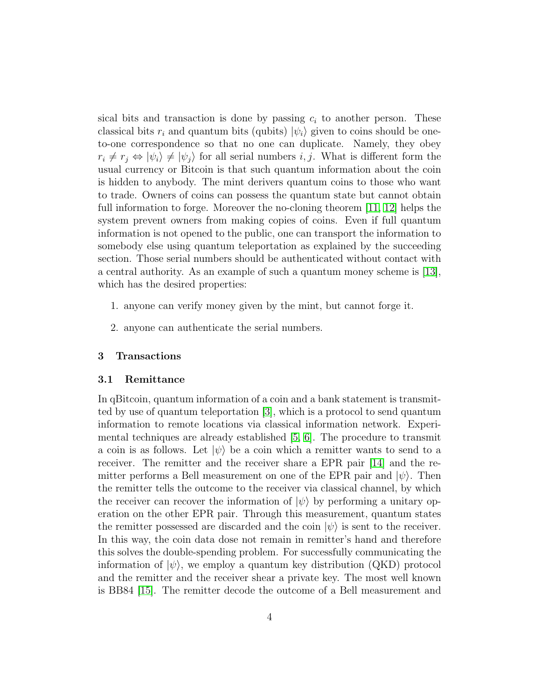sical bits and transaction is done by passing  $c_i$  to another person. These classical bits  $r_i$  and quantum bits (qubits)  $|\psi_i\rangle$  given to coins should be oneto-one correspondence so that no one can duplicate. Namely, they obey  $r_i \neq r_j \Leftrightarrow |\psi_i\rangle \neq |\psi_j\rangle$  for all serial numbers i, j. What is different form the usual currency or Bitcoin is that such quantum information about the coin is hidden to anybody. The mint derivers quantum coins to those who want to trade. Owners of coins can possess the quantum state but cannot obtain full information to forge. Moreover the no-cloning theorem [\[11,](#page-9-7) [12\]](#page-9-8) helps the system prevent owners from making copies of coins. Even if full quantum information is not opened to the public, one can transport the information to somebody else using quantum teleportation as explained by the succeeding section. Those serial numbers should be authenticated without contact with a central authority. As an example of such a quantum money scheme is [\[13\]](#page-10-0), which has the desired properties:

- 1. anyone can verify money given by the mint, but cannot forge it.
- 2. anyone can authenticate the serial numbers.

#### 3 Transactions

#### 3.1 Remittance

In qBitcoin, quantum information of a coin and a bank statement is transmitted by use of quantum teleportation [\[3\]](#page-8-2), which is a protocol to send quantum information to remote locations via classical information network. Experimental techniques are already established [\[5,](#page-9-1) [6\]](#page-9-2). The procedure to transmit a coin is as follows. Let  $|\psi\rangle$  be a coin which a remitter wants to send to a receiver. The remitter and the receiver share a EPR pair [\[14\]](#page-10-1) and the remitter performs a Bell measurement on one of the EPR pair and  $|\psi\rangle$ . Then the remitter tells the outcome to the receiver via classical channel, by which the receiver can recover the information of  $|\psi\rangle$  by performing a unitary operation on the other EPR pair. Through this measurement, quantum states the remitter possessed are discarded and the coin  $|\psi\rangle$  is sent to the receiver. In this way, the coin data dose not remain in remitter's hand and therefore this solves the double-spending problem. For successfully communicating the information of  $|\psi\rangle$ , we employ a quantum key distribution (QKD) protocol and the remitter and the receiver shear a private key. The most well known is BB84 [\[15\]](#page-10-2). The remitter decode the outcome of a Bell measurement and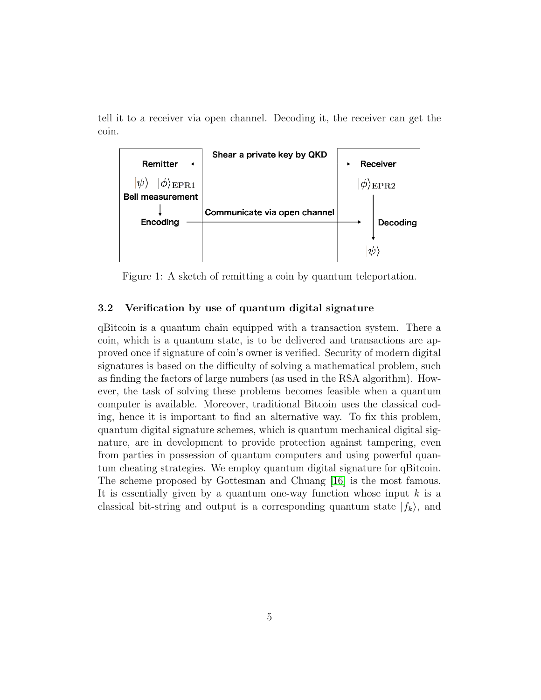tell it to a receiver via open channel. Decoding it, the receiver can get the coin.



Figure 1: A sketch of remitting a coin by quantum teleportation.

## 3.2 Verification by use of quantum digital signature

qBitcoin is a quantum chain equipped with a transaction system. There a coin, which is a quantum state, is to be delivered and transactions are approved once if signature of coin's owner is verified. Security of modern digital signatures is based on the difficulty of solving a mathematical problem, such as finding the factors of large numbers (as used in the RSA algorithm). However, the task of solving these problems becomes feasible when a quantum computer is available. Moreover, traditional Bitcoin uses the classical coding, hence it is important to find an alternative way. To fix this problem, quantum digital signature schemes, which is quantum mechanical digital signature, are in development to provide protection against tampering, even from parties in possession of quantum computers and using powerful quantum cheating strategies. We employ quantum digital signature for qBitcoin. The scheme proposed by Gottesman and Chuang [\[16\]](#page-10-3) is the most famous. It is essentially given by a quantum one-way function whose input  $k$  is a classical bit-string and output is a corresponding quantum state  $|f_k\rangle$ , and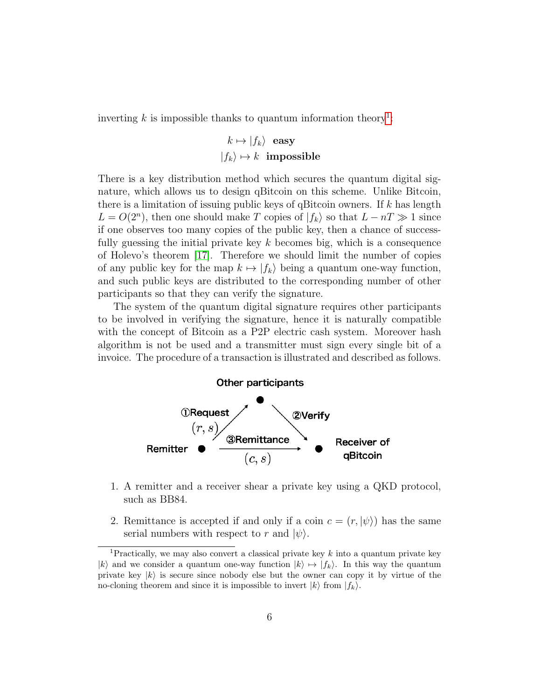inverting  $k$  is impossible thanks to quantum information theory<sup>[1](#page-5-0)</sup>:

$$
k \mapsto |f_k\rangle \text{ easy}
$$
  

$$
|f_k\rangle \mapsto k \text{ impossible}
$$

There is a key distribution method which secures the quantum digital signature, which allows us to design qBitcoin on this scheme. Unlike Bitcoin, there is a limitation of issuing public keys of qBitcoin owners. If  $k$  has length  $L = O(2<sup>n</sup>)$ , then one should make T copies of  $|f_k\rangle$  so that  $L - nT \gg 1$  since if one observes too many copies of the public key, then a chance of successfully guessing the initial private key  $k$  becomes big, which is a consequence of Holevo's theorem [\[17\]](#page-10-4). Therefore we should limit the number of copies of any public key for the map  $k \mapsto |f_k\rangle$  being a quantum one-way function, and such public keys are distributed to the corresponding number of other participants so that they can verify the signature.

The system of the quantum digital signature requires other participants to be involved in verifying the signature, hence it is naturally compatible with the concept of Bitcoin as a P2P electric cash system. Moreover hash algorithm is not be used and a transmitter must sign every single bit of a invoice. The procedure of a transaction is illustrated and described as follows.



- 1. A remitter and a receiver shear a private key using a QKD protocol, such as BB84.
- 2. Remittance is accepted if and only if a coin  $c = (r, \vert \psi \rangle)$  has the same serial numbers with respect to r and  $|\psi\rangle$ .

<span id="page-5-0"></span><sup>&</sup>lt;sup>1</sup>Practically, we may also convert a classical private key  $k$  into a quantum private key  $|k\rangle$  and we consider a quantum one-way function  $|k\rangle \mapsto |f_k\rangle$ . In this way the quantum private key  $|k\rangle$  is secure since nobody else but the owner can copy it by virtue of the no-cloning theorem and since it is impossible to invert  $|k\rangle$  from  $|f_k\rangle$ .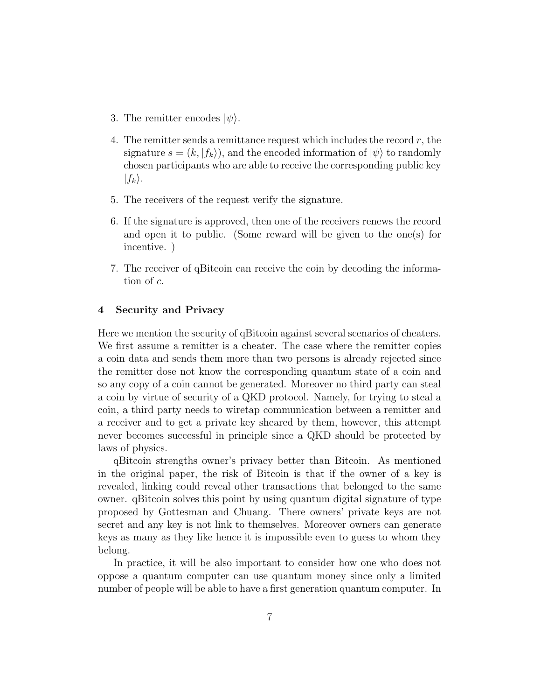- 3. The remitter encodes  $|\psi\rangle$ .
- 4. The remitter sends a remittance request which includes the record  $r$ , the signature  $s = (k, |f_k\rangle)$ , and the encoded information of  $|\psi\rangle$  to randomly chosen participants who are able to receive the corresponding public key  $|f_k\rangle$ .
- 5. The receivers of the request verify the signature.
- 6. If the signature is approved, then one of the receivers renews the record and open it to public. (Some reward will be given to the one(s) for incentive. )
- 7. The receiver of qBitcoin can receive the coin by decoding the information of c.

# 4 Security and Privacy

Here we mention the security of qBitcoin against several scenarios of cheaters. We first assume a remitter is a cheater. The case where the remitter copies a coin data and sends them more than two persons is already rejected since the remitter dose not know the corresponding quantum state of a coin and so any copy of a coin cannot be generated. Moreover no third party can steal a coin by virtue of security of a QKD protocol. Namely, for trying to steal a coin, a third party needs to wiretap communication between a remitter and a receiver and to get a private key sheared by them, however, this attempt never becomes successful in principle since a QKD should be protected by laws of physics.

qBitcoin strengths owner's privacy better than Bitcoin. As mentioned in the original paper, the risk of Bitcoin is that if the owner of a key is revealed, linking could reveal other transactions that belonged to the same owner. qBitcoin solves this point by using quantum digital signature of type proposed by Gottesman and Chuang. There owners' private keys are not secret and any key is not link to themselves. Moreover owners can generate keys as many as they like hence it is impossible even to guess to whom they belong.

In practice, it will be also important to consider how one who does not oppose a quantum computer can use quantum money since only a limited number of people will be able to have a first generation quantum computer. In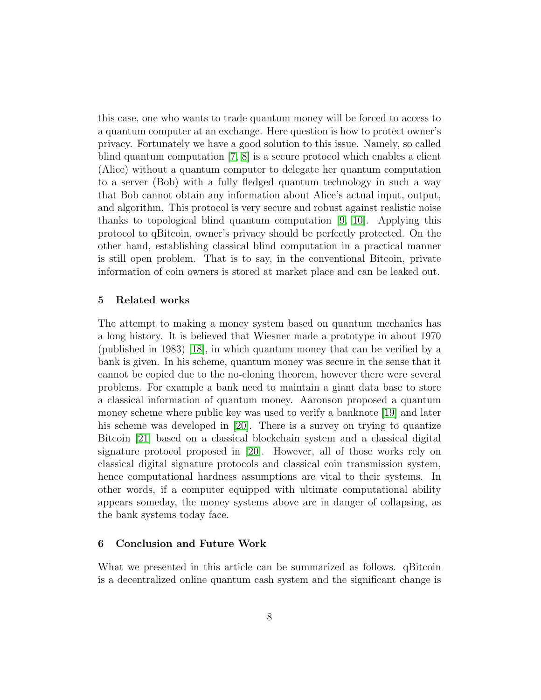this case, one who wants to trade quantum money will be forced to access to a quantum computer at an exchange. Here question is how to protect owner's privacy. Fortunately we have a good solution to this issue. Namely, so called blind quantum computation [\[7,](#page-9-3) [8\]](#page-9-4) is a secure protocol which enables a client (Alice) without a quantum computer to delegate her quantum computation to a server (Bob) with a fully fledged quantum technology in such a way that Bob cannot obtain any information about Alice's actual input, output, and algorithm. This protocol is very secure and robust against realistic noise thanks to topological blind quantum computation [\[9,](#page-9-5) [10\]](#page-9-6). Applying this protocol to qBitcoin, owner's privacy should be perfectly protected. On the other hand, establishing classical blind computation in a practical manner is still open problem. That is to say, in the conventional Bitcoin, private information of coin owners is stored at market place and can be leaked out.

### 5 Related works

The attempt to making a money system based on quantum mechanics has a long history. It is believed that Wiesner made a prototype in about 1970 (published in 1983) [\[18\]](#page-10-5), in which quantum money that can be verified by a bank is given. In his scheme, quantum money was secure in the sense that it cannot be copied due to the no-cloning theorem, however there were several problems. For example a bank need to maintain a giant data base to store a classical information of quantum money. Aaronson proposed a quantum money scheme where public key was used to verify a banknote [\[19\]](#page-10-6) and later his scheme was developed in [\[20\]](#page-10-7). There is a survey on trying to quantize Bitcoin [\[21\]](#page-10-8) based on a classical blockchain system and a classical digital signature protocol proposed in [\[20\]](#page-10-7). However, all of those works rely on classical digital signature protocols and classical coin transmission system, hence computational hardness assumptions are vital to their systems. In other words, if a computer equipped with ultimate computational ability appears someday, the money systems above are in danger of collapsing, as the bank systems today face.

#### 6 Conclusion and Future Work

What we presented in this article can be summarized as follows. qBitcoin is a decentralized online quantum cash system and the significant change is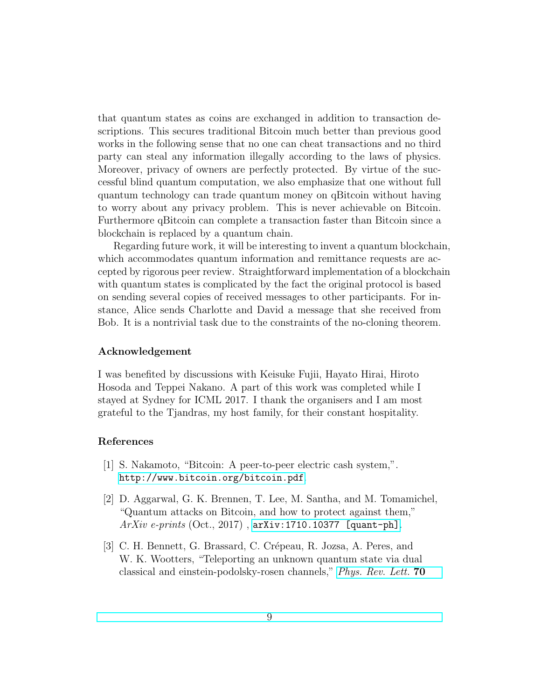that quantum states as coins are exchanged in addition to transaction descriptions. This secures traditional Bitcoin much better than previous good works in the following sense that no one can cheat transactions and no third party can steal any information illegally according to the laws of physics. Moreover, privacy of owners are perfectly protected. By virtue of the successful blind quantum computation, we also emphasize that one without full quantum technology can trade quantum money on qBitcoin without having to worry about any privacy problem. This is never achievable on Bitcoin. Furthermore qBitcoin can complete a transaction faster than Bitcoin since a blockchain is replaced by a quantum chain.

Regarding future work, it will be interesting to invent a quantum blockchain, which accommodates quantum information and remittance requests are accepted by rigorous peer review. Straightforward implementation of a blockchain with quantum states is complicated by the fact the original protocol is based on sending several copies of received messages to other participants. For instance, Alice sends Charlotte and David a message that she received from Bob. It is a nontrivial task due to the constraints of the no-cloning theorem.

#### Acknowledgement

I was benefited by discussions with Keisuke Fujii, Hayato Hirai, Hiroto Hosoda and Teppei Nakano. A part of this work was completed while I stayed at Sydney for ICML 2017. I thank the organisers and I am most grateful to the Tjandras, my host family, for their constant hospitality.

## References

- <span id="page-8-0"></span>[1] S. Nakamoto, "Bitcoin: A peer-to-peer electric cash system,". <http://www.bitcoin.org/bitcoin.pdf>.
- <span id="page-8-1"></span>[2] D. Aggarwal, G. K. Brennen, T. Lee, M. Santha, and M. Tomamichel, "Quantum attacks on Bitcoin, and how to protect against them,"  $ArXiv$  e-prints  $(Oct., 2017)$ , [arXiv:1710.10377 \[quant-ph\]](http://arxiv.org/abs/1710.10377).
- <span id="page-8-2"></span>[3] C. H. Bennett, G. Brassard, C. Crépeau, R. Jozsa, A. Peres, and W. K. Wootters, "Teleporting an unknown quantum state via dual classical and einstein-podolsky-rosen channels," [Phys. Rev. Lett.](http://dx.doi.org/10.1103/PhysRevLett.70.1895) 70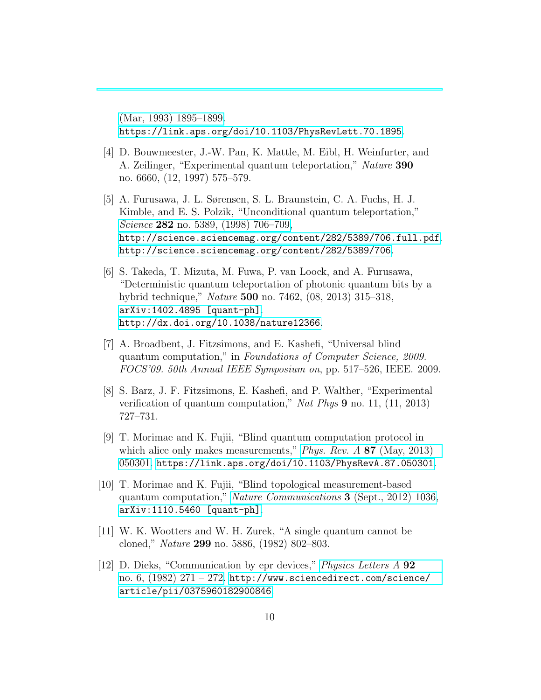[\(Mar, 1993\) 1895–1899.](http://dx.doi.org/10.1103/PhysRevLett.70.1895) <https://link.aps.org/doi/10.1103/PhysRevLett.70.1895>.

- <span id="page-9-0"></span>[4] D. Bouwmeester, J.-W. Pan, K. Mattle, M. Eibl, H. Weinfurter, and A. Zeilinger, "Experimental quantum teleportation," Nature 390 no. 6660, (12, 1997) 575–579.
- <span id="page-9-1"></span>[5] A. Furusawa, J. L. Sørensen, S. L. Braunstein, C. A. Fuchs, H. J. Kimble, and E. S. Polzik, "Unconditional quantum teleportation," Science 282 [no. 5389, \(1998\) 706–709,](http://dx.doi.org/10.1126/science.282.5389.706) [http://science.sciencemag.org/content/282/5389/706.full.pdf](http://arxiv.org/abs/http://science.sciencemag.org/content/282/5389/706.full.pdf). <http://science.sciencemag.org/content/282/5389/706>.
- <span id="page-9-2"></span>[6] S. Takeda, T. Mizuta, M. Fuwa, P. van Loock, and A. Furusawa, "Deterministic quantum teleportation of photonic quantum bits by a hybrid technique," Nature 500 no. 7462, (08, 2013) 315–318, [arXiv:1402.4895 \[quant-ph\]](http://arxiv.org/abs/1402.4895). <http://dx.doi.org/10.1038/nature12366>.
- <span id="page-9-3"></span>[7] A. Broadbent, J. Fitzsimons, and E. Kashefi, "Universal blind quantum computation," in Foundations of Computer Science, 2009. FOCS'09. 50th Annual IEEE Symposium on, pp. 517–526, IEEE. 2009.
- <span id="page-9-4"></span>[8] S. Barz, J. F. Fitzsimons, E. Kashefi, and P. Walther, "Experimental verification of quantum computation," Nat Phys 9 no. 11, (11, 2013) 727–731.
- <span id="page-9-5"></span>[9] T. Morimae and K. Fujii, "Blind quantum computation protocol in which alice only makes measurements," *[Phys. Rev. A](http://dx.doi.org/10.1103/PhysRevA.87.050301)* 87 (May, 2013) [050301.](http://dx.doi.org/10.1103/PhysRevA.87.050301) <https://link.aps.org/doi/10.1103/PhysRevA.87.050301>.
- <span id="page-9-6"></span>[10] T. Morimae and K. Fujii, "Blind topological measurement-based quantum computation," [Nature Communications](http://dx.doi.org/10.1038/ncomms2043) 3 (Sept., 2012) 1036, [arXiv:1110.5460 \[quant-ph\]](http://arxiv.org/abs/1110.5460).
- <span id="page-9-7"></span>[11] W. K. Wootters and W. H. Zurek, "A single quantum cannot be cloned," Nature 299 no. 5886, (1982) 802–803.
- <span id="page-9-8"></span>[12] D. Dieks, "Communication by epr devices," [Physics Letters A](http://dx.doi.org/http://dx.doi.org/10.1016/0375-9601(82)90084-6) 92 no.  $6, (1982)$  271 – 272. [http://www.sciencedirect.com/science/](http://www.sciencedirect.com/science/article/pii/0375960182900846) [article/pii/0375960182900846](http://www.sciencedirect.com/science/article/pii/0375960182900846).